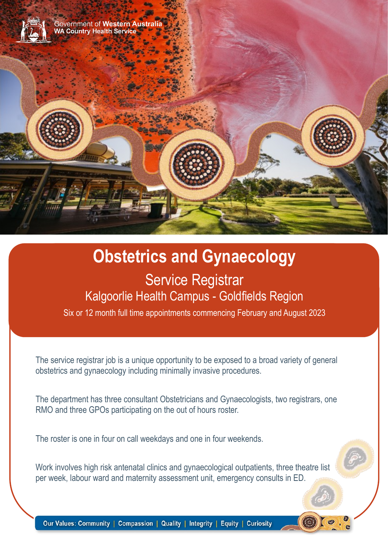

# **Obstetrics and Gynaecology** Service Registrar Kalgoorlie Health Campus - Goldfields Region

Six or 12 month full time appointments commencing February and August 2023

The service registrar job is a unique opportunity to be exposed to a broad variety of general obstetrics and gynaecology including minimally invasive procedures.

The department has three consultant Obstetricians and Gynaecologists, two registrars, one RMO and three GPOs participating on the out of hours roster.

The roster is one in four on call weekdays and one in four weekends.

Work involves high risk antenatal clinics and gynaecological outpatients, three theatre list per week, labour ward and maternity assessment unit, emergency consults in ED.